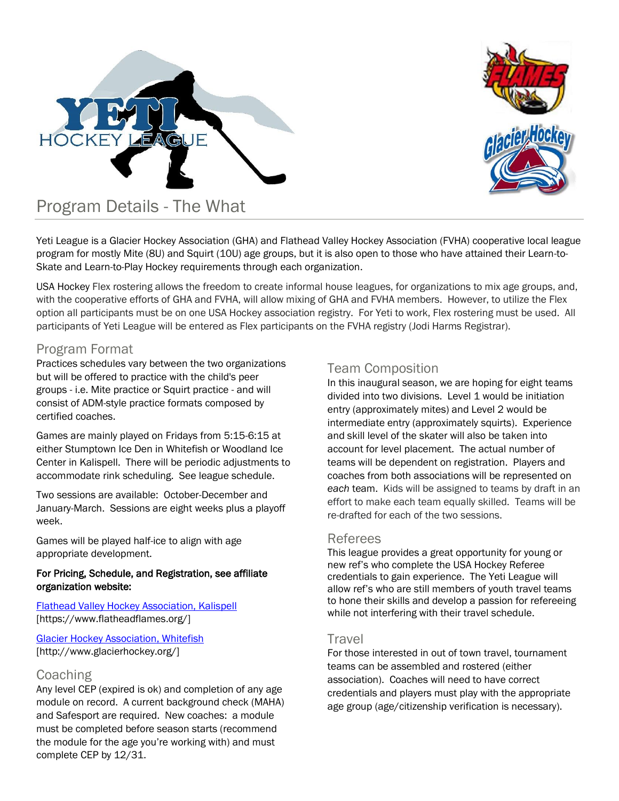



Yeti League is a Glacier Hockey Association (GHA) and Flathead Valley Hockey Association (FVHA) cooperative local league program for mostly Mite (8U) and Squirt (10U) age groups, but it is also open to those who have attained their Learn-to-Skate and Learn-to-Play Hockey requirements through each organization.

USA Hockey Flex rostering allows the freedom to create informal house leagues, for organizations to mix age groups, and, with the cooperative efforts of GHA and FVHA, will allow mixing of GHA and FVHA members. However, to utilize the Flex option all participants must be on one USA Hockey association registry. For Yeti to work, Flex rostering must be used. All participants of Yeti League will be entered as Flex participants on the FVHA registry (Jodi Harms Registrar).

### Program Format

Practices schedules vary between the two organizations but will be offered to practice with the child's peer groups - i.e. Mite practice or Squirt practice - and will consist of ADM-style practice formats composed by certified coaches.

Games are mainly played on Fridays from 5:15-6:15 at either Stumptown Ice Den in Whitefish or Woodland Ice Center in Kalispell. There will be periodic adjustments to accommodate rink scheduling. See league schedule.

Two sessions are available: October-December and January-March. Sessions are eight weeks plus a playoff week.

Games will be played half-ice to align with age appropriate development.

#### For Pricing, Schedule, and Registration, see affiliate organization website:

#### [Flathead Valley Hockey Association, Kalispell](https://www.flatheadflames.org/) [https://www.flatheadflames.org/]

[Glacier Hockey Association, Whitefish](http://www.glacierhockey.org/) [http://www.glacierhockey.org/]

### Coaching

Any level CEP (expired is ok) and completion of any age module on record. A current background check (MAHA) and Safesport are required. New coaches: a module must be completed before season starts (recommend the module for the age you're working with) and must complete CEP by 12/31.

### Team Composition

In this inaugural season, we are hoping for eight teams divided into two divisions. Level 1 would be initiation entry (approximately mites) and Level 2 would be intermediate entry (approximately squirts). Experience and skill level of the skater will also be taken into account for level placement. The actual number of teams will be dependent on registration. Players and coaches from both associations will be represented on *each* team. Kids will be assigned to teams by draft in an effort to make each team equally skilled. Teams will be re-drafted for each of the two sessions.

### Referees

This league provides a great opportunity for young or new ref's who complete the USA Hockey Referee credentials to gain experience. The Yeti League will allow ref's who are still members of youth travel teams to hone their skills and develop a passion for refereeing while not interfering with their travel schedule.

### Travel

For those interested in out of town travel, tournament teams can be assembled and rostered (either association). Coaches will need to have correct credentials and players must play with the appropriate age group (age/citizenship verification is necessary).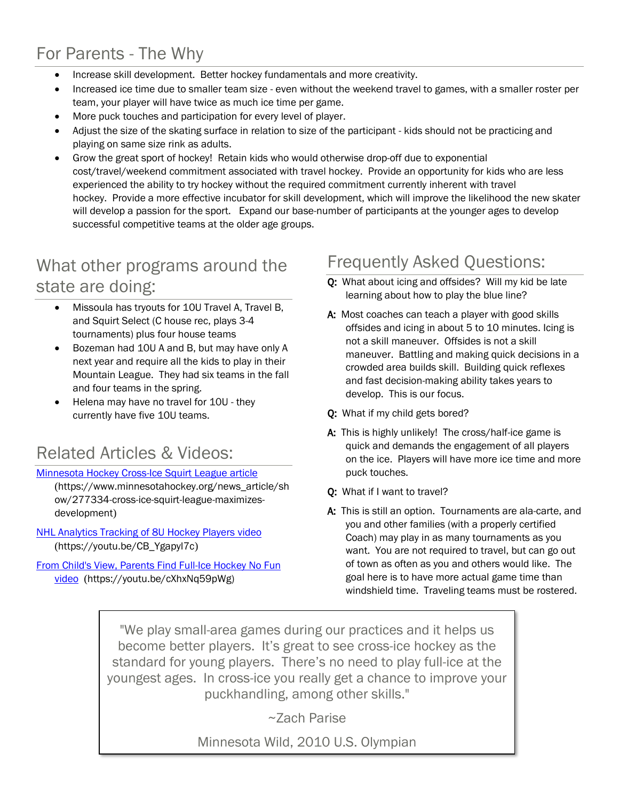# For Parents - The Why

- Increase skill development. Better hockey fundamentals and more creativity.
- Increased ice time due to smaller team size even without the weekend travel to games, with a smaller roster per team, your player will have twice as much ice time per game.
- More puck touches and participation for every level of player.
- Adjust the size of the skating surface in relation to size of the participant kids should not be practicing and playing on same size rink as adults.
- Grow the great sport of hockey! Retain kids who would otherwise drop-off due to exponential cost/travel/weekend commitment associated with travel hockey. Provide an opportunity for kids who are less experienced the ability to try hockey without the required commitment currently inherent with travel hockey. Provide a more effective incubator for skill development, which will improve the likelihood the new skater will develop a passion for the sport. Expand our base-number of participants at the younger ages to develop successful competitive teams at the older age groups.

# What other programs around the state are doing:

- Missoula has tryouts for 10U Travel A, Travel B, and Squirt Select (C house rec, plays 3-4 tournaments) plus four house teams
- Bozeman had 10U A and B, but may have only A next year and require all the kids to play in their Mountain League. They had six teams in the fall and four teams in the spring.
- Helena may have no travel for 10U they currently have five 10U teams.

# Related Articles & Videos:

#### [Minnesota Hockey Cross-Ice Squirt League article](https://www.minnesotahockey.org/news_article/show/277334-cross-ice-squirt-league-maximizes-development)

(https://www.minnesotahockey.org/news\_article/sh ow/277334-cross-ice-squirt-league-maximizesdevelopment)

[NHL Analytics Tracking of 8U Hockey Players](https://youtu.be/CB_Ygapyl7c) video ([https://youtu.be/CB\\_Ygapyl7c](https://youtu.be/CB_Ygapyl7c))

[From Child's View, Parents Find Full-Ice Hockey No Fun](https://youtu.be/cXhxNq59pWg) [video](https://youtu.be/cXhxNq59pWg) (https://youtu.be/cXhxNq59pWg)

# Frequently Asked Questions:

- Q: What about icing and offsides? Will my kid be late learning about how to play the blue line?
- A: Most coaches can teach a player with good skills offsides and icing in about 5 to 10 minutes. Icing is not a skill maneuver. Offsides is not a skill maneuver. Battling and making quick decisions in a crowded area builds skill. Building quick reflexes and fast decision-making ability takes years to develop. This is our focus.
- Q: What if my child gets bored?
- A: This is highly unlikely! The cross/half-ice game is quick and demands the engagement of all players on the ice. Players will have more ice time and more puck touches.
- Q: What if I want to travel?
- A: This is still an option. Tournaments are ala-carte, and you and other families (with a properly certified Coach) may play in as many tournaments as you want. You are not required to travel, but can go out of town as often as you and others would like. The goal here is to have more actual game time than windshield time. Traveling teams must be rostered.

"We play small-area games during our practices and it helps us become better players. It's great to see cross-ice hockey as the standard for young players. There's no need to play full-ice at the youngest ages. In cross-ice you really get a chance to improve your puckhandling, among other skills."

~Zach Parise

Minnesota Wild, 2010 U.S. Olympian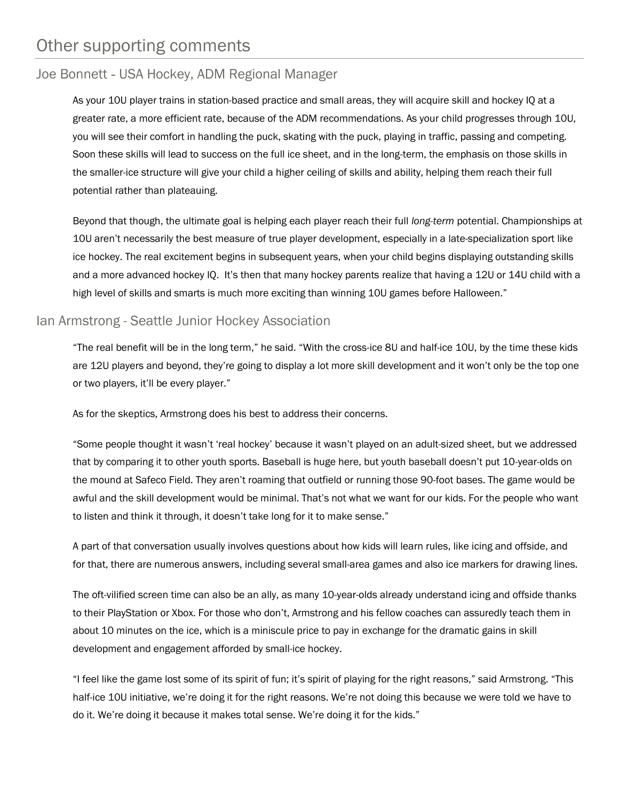## Other supporting comments

## Joe Bonnett - USA Hockey, ADM Regional Manager

As your 10U player trains in station-based practice and small areas, they will acquire skill and hockey IQ at a greater rate, a more efficient rate, because of the ADM recommendations. As your child progresses through 10U, you will see their comfort in handling the puck, skating with the puck, playing in traffic, passing and competing. Soon these skills will lead to success on the full ice sheet, and in the long-term, the emphasis on those skills in the smaller-ice structure will give your child a higher ceiling of skills and ability, helping them reach their full potential rather than plateauing.

Beyond that though, the ultimate goal is helping each player reach their full *long-term* potential. Championships at 10U aren't necessarily the best measure of true player development, especially in a late-specialization sport like ice hockey. The real excitement begins in subsequent years, when your child begins displaying outstanding skills and a more advanced hockey IQ. It's then that many hockey parents realize that having a 12U or 14U child with a high level of skills and smarts is much more exciting than winning 10U games before Halloween."

### Ian Armstrong - Seattle Junior Hockey Association

"The real benefit will be in the long term," he said. "With the cross-ice 8U and half-ice 10U, by the time these kids are 12U players and beyond, they're going to display a lot more skill development and it won't only be the top one or two players, it'll be every player."

As for the skeptics, Armstrong does his best to address their concerns.

"Some people thought it wasn't 'real hockey' because it wasn't played on an adult-sized sheet, but we addressed that by comparing it to other youth sports. Baseball is huge here, but youth baseball doesn't put 10-year-olds on the mound at Safeco Field. They aren't roaming that outfield or running those 90-foot bases. The game would be awful and the skill development would be minimal. That's not what we want for our kids. For the people who want to listen and think it through, it doesn't take long for it to make sense."

A part of that conversation usually involves questions about how kids will learn rules, like icing and offside, and for that, there are numerous answers, including several small-area games and also ice markers for drawing lines.

The oft-vilified screen time can also be an ally, as many 10-year-olds already understand icing and offside thanks to their PlayStation or Xbox. For those who don't, Armstrong and his fellow coaches can assuredly teach them in about 10 minutes on the ice, which is a miniscule price to pay in exchange for the dramatic gains in skill development and engagement afforded by small-ice hockey.

"I feel like the game lost some of its spirit of fun; it's spirit of playing for the right reasons," said Armstrong. "This half-ice 10U initiative, we're doing it for the right reasons. We're not doing this because we were told we have to do it. We're doing it because it makes total sense. We're doing it for the kids."